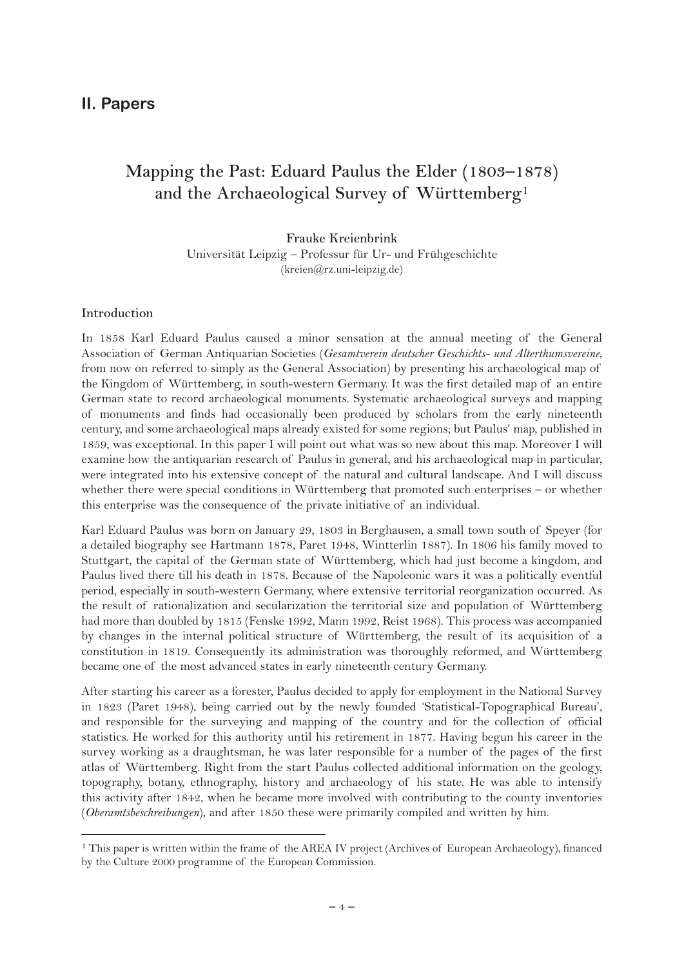# **II. Papers**

# **Mapping the Past: Eduard Paulus the Elder (1803–1878) and the Archaeological Survey of Württemberg**1

**Frauke Kreienbrink** Universität Leipzig – Professur für Ur- und Frühgeschichte (kreien@rz.uni-leipzig.de)

#### **Introduction**

In 1858 Karl Eduard Paulus caused a minor sensation at the annual meeting of the General Association of German Antiquarian Societies (*Gesamtverein deutscher Geschichts- und Alterthumsvereine*, from now on referred to simply as the General Association) by presenting his archaeological map of the Kingdom of Württemberg, in south-western Germany. It was the first detailed map of an entire German state to record archaeological monuments. Systematic archaeological surveys and mapping of monuments and finds had occasionally been produced by scholars from the early nineteenth century, and some archaeological maps already existed for some regions; but Paulus' map, published in 1859, was exceptional. In this paper I will point out what was so new about this map. Moreover I will examine how the antiquarian research of Paulus in general, and his archaeological map in particular, were integrated into his extensive concept of the natural and cultural landscape. And I will discuss whether there were special conditions in Württemberg that promoted such enterprises – or whether this enterprise was the consequence of the private initiative of an individual.

Karl Eduard Paulus was born on January 29, 1803 in Berghausen, a small town south of Speyer (for a detailed biography see Hartmann 1878, Paret 1948, Wintterlin 1887). In 1806 his family moved to Stuttgart, the capital of the German state of Württemberg, which had just become a kingdom, and Paulus lived there till his death in 1878. Because of the Napoleonic wars it was a politically eventful period, especially in south-western Germany, where extensive territorial reorganization occurred. As the result of rationalization and secularization the territorial size and population of Württemberg had more than doubled by 1815 (Fenske 1992, Mann 1992, Reist 1968). This process was accompanied by changes in the internal political structure of Württemberg, the result of its acquisition of a constitution in 1819. Consequently its administration was thoroughly reformed, and Württemberg became one of the most advanced states in early nineteenth century Germany.

After starting his career as a forester, Paulus decided to apply for employment in the National Survey in 1823 (Paret 1948), being carried out by the newly founded 'Statistical-Topographical Bureau', and responsible for the surveying and mapping of the country and for the collection of official statistics. He worked for this authority until his retirement in 1877. Having begun his career in the survey working as a draughtsman, he was later responsible for a number of the pages of the first atlas of Württemberg. Right from the start Paulus collected additional information on the geology, topography, botany, ethnography, history and archaeology of his state. He was able to intensify this activity after 1842, when he became more involved with contributing to the county inventories (*Oberamtsbeschreibungen*), and after 1850 these were primarily compiled and written by him.

<sup>1</sup> This paper is written within the frame of the AREA IV project (Archives of European Archaeology), financed by the Culture 2000 programme of the European Commission.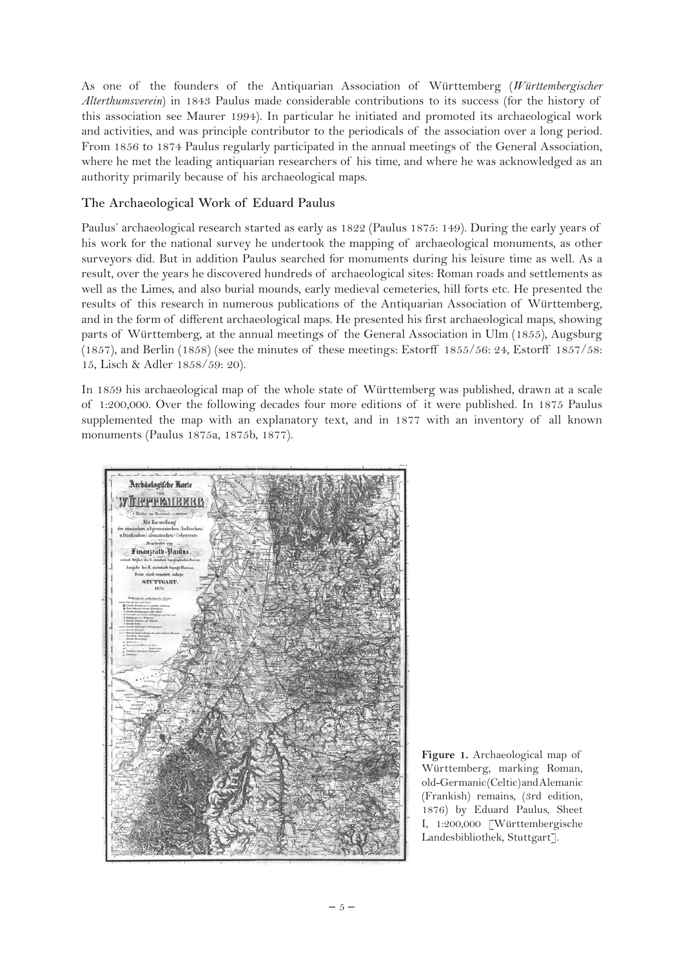As one of the founders of the Antiquarian Association of Württemberg (*Württembergischer Alterthumsverein*) in 1843 Paulus made considerable contributions to its success (for the history of this association see Maurer 1994). In particular he initiated and promoted its archaeological work and activities, and was principle contributor to the periodicals of the association over a long period. From 1856 to 1874 Paulus regularly participated in the annual meetings of the General Association, where he met the leading antiquarian researchers of his time, and where he was acknowledged as an authority primarily because of his archaeological maps.

## **The Archaeological Work of Eduard Paulus**

Paulus' archaeological research started as early as 1822 (Paulus 1875: 149). During the early years of his work for the national survey he undertook the mapping of archaeological monuments, as other surveyors did. But in addition Paulus searched for monuments during his leisure time as well. As a result, over the years he discovered hundreds of archaeological sites: Roman roads and settlements as well as the Limes, and also burial mounds, early medieval cemeteries, hill forts etc. He presented the results of this research in numerous publications of the Antiquarian Association of Württemberg, and in the form of different archaeological maps. He presented his first archaeological maps, showing parts of Württemberg, at the annual meetings of the General Association in Ulm (1855), Augsburg (1857), and Berlin (1858) (see the minutes of these meetings: Estorff 1855/56: 24, Estorff 1857/58: 15, Lisch & Adler 1858/59: 20).

In 1859 his archaeological map of the whole state of Württemberg was published, drawn at a scale of 1:200,000. Over the following decades four more editions of it were published. In 1875 Paulus supplemented the map with an explanatory text, and in 1877 with an inventory of all known monuments (Paulus 1875a, 1875b, 1877).



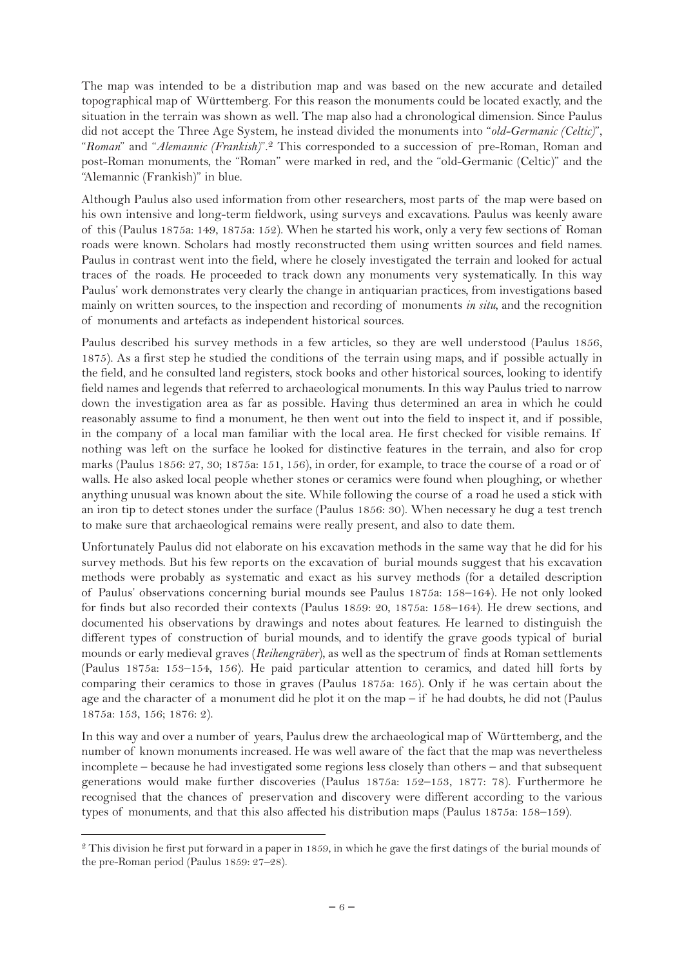The map was intended to be a distribution map and was based on the new accurate and detailed topographical map of Württemberg. For this reason the monuments could be located exactly, and the situation in the terrain was shown as well. The map also had a chronological dimension. Since Paulus did not accept the Three Age System, he instead divided the monuments into "*old-Germanic (Celtic)*", "*Roman*" and "*Alemannic (Frankish)*".2 This corresponded to a succession of pre-Roman, Roman and post-Roman monuments, the "Roman" were marked in red, and the "old-Germanic (Celtic)" and the "Alemannic (Frankish)" in blue.

Although Paulus also used information from other researchers, most parts of the map were based on his own intensive and long-term fieldwork, using surveys and excavations. Paulus was keenly aware of this (Paulus 1875a: 149, 1875a: 152). When he started his work, only a very few sections of Roman roads were known. Scholars had mostly reconstructed them using written sources and field names. Paulus in contrast went into the field, where he closely investigated the terrain and looked for actual traces of the roads. He proceeded to track down any monuments very systematically. In this way Paulus' work demonstrates very clearly the change in antiquarian practices, from investigations based mainly on written sources, to the inspection and recording of monuments *in situ*, and the recognition of monuments and artefacts as independent historical sources.

Paulus described his survey methods in a few articles, so they are well understood (Paulus 1856, 1875). As a first step he studied the conditions of the terrain using maps, and if possible actually in the field, and he consulted land registers, stock books and other historical sources, looking to identify field names and legends that referred to archaeological monuments. In this way Paulus tried to narrow down the investigation area as far as possible. Having thus determined an area in which he could reasonably assume to find a monument, he then went out into the field to inspect it, and if possible, in the company of a local man familiar with the local area. He first checked for visible remains. If nothing was left on the surface he looked for distinctive features in the terrain, and also for crop marks (Paulus 1856: 27, 30; 1875a: 151, 156), in order, for example, to trace the course of a road or of walls. He also asked local people whether stones or ceramics were found when ploughing, or whether anything unusual was known about the site. While following the course of a road he used a stick with an iron tip to detect stones under the surface (Paulus 1856: 30). When necessary he dug a test trench to make sure that archaeological remains were really present, and also to date them.

Unfortunately Paulus did not elaborate on his excavation methods in the same way that he did for his survey methods. But his few reports on the excavation of burial mounds suggest that his excavation methods were probably as systematic and exact as his survey methods (for a detailed description of Paulus' observations concerning burial mounds see Paulus 1875a: 158–164). He not only looked for finds but also recorded their contexts (Paulus 1859: 20, 1875a: 158–164). He drew sections, and documented his observations by drawings and notes about features. He learned to distinguish the different types of construction of burial mounds, and to identify the grave goods typical of burial mounds or early medieval graves (*Reihengräber*), as well as the spectrum of finds at Roman settlements (Paulus 1875a: 153–154, 156). He paid particular attention to ceramics, and dated hill forts by comparing their ceramics to those in graves (Paulus 1875a: 165). Only if he was certain about the age and the character of a monument did he plot it on the map – if he had doubts, he did not (Paulus 1875a: 153, 156; 1876: 2).

In this way and over a number of years, Paulus drew the archaeological map of Württemberg, and the number of known monuments increased. He was well aware of the fact that the map was nevertheless incomplete – because he had investigated some regions less closely than others – and that subsequent generations would make further discoveries (Paulus 1875a: 152–153, 1877: 78). Furthermore he recognised that the chances of preservation and discovery were different according to the various types of monuments, and that this also affected his distribution maps (Paulus 1875a: 158–159).

<sup>&</sup>lt;sup>2</sup> This division he first put forward in a paper in 1859, in which he gave the first datings of the burial mounds of the pre-Roman period (Paulus 1859: 27–28).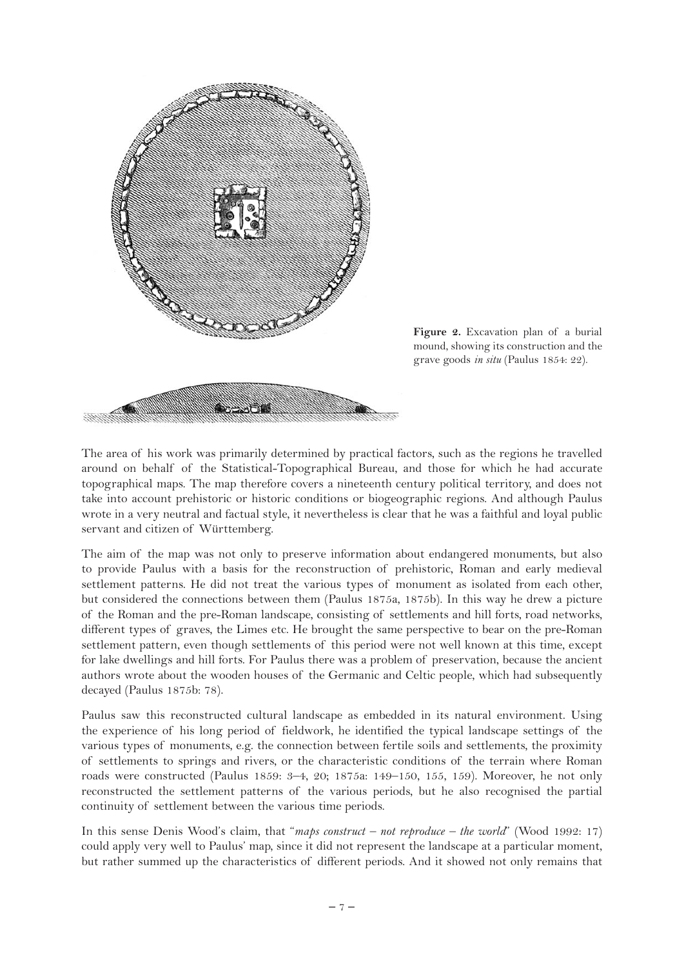

**Figure 2.** Excavation plan of a burial mound, showing its construction and the grave goods *in situ* (Paulus 1854: 22).

The area of his work was primarily determined by practical factors, such as the regions he travelled around on behalf of the Statistical-Topographical Bureau, and those for which he had accurate topographical maps. The map therefore covers a nineteenth century political territory, and does not take into account prehistoric or historic conditions or biogeographic regions. And although Paulus wrote in a very neutral and factual style, it nevertheless is clear that he was a faithful and loyal public servant and citizen of Württemberg.

The aim of the map was not only to preserve information about endangered monuments, but also to provide Paulus with a basis for the reconstruction of prehistoric, Roman and early medieval settlement patterns. He did not treat the various types of monument as isolated from each other, but considered the connections between them (Paulus 1875a, 1875b). In this way he drew a picture of the Roman and the pre-Roman landscape, consisting of settlements and hill forts, road networks, different types of graves, the Limes etc. He brought the same perspective to bear on the pre-Roman settlement pattern, even though settlements of this period were not well known at this time, except for lake dwellings and hill forts. For Paulus there was a problem of preservation, because the ancient authors wrote about the wooden houses of the Germanic and Celtic people, which had subsequently decayed (Paulus 1875b: 78).

Paulus saw this reconstructed cultural landscape as embedded in its natural environment. Using the experience of his long period of fieldwork, he identified the typical landscape settings of the various types of monuments, e.g. the connection between fertile soils and settlements, the proximity of settlements to springs and rivers, or the characteristic conditions of the terrain where Roman roads were constructed (Paulus 1859: 3–4, 20; 1875a: 149–150, 155, 159). Moreover, he not only reconstructed the settlement patterns of the various periods, but he also recognised the partial continuity of settlement between the various time periods.

In this sense Denis Wood's claim, that "*maps construct – not reproduce – the world*" (Wood 1992: 17) could apply very well to Paulus' map, since it did not represent the landscape at a particular moment, but rather summed up the characteristics of different periods. And it showed not only remains that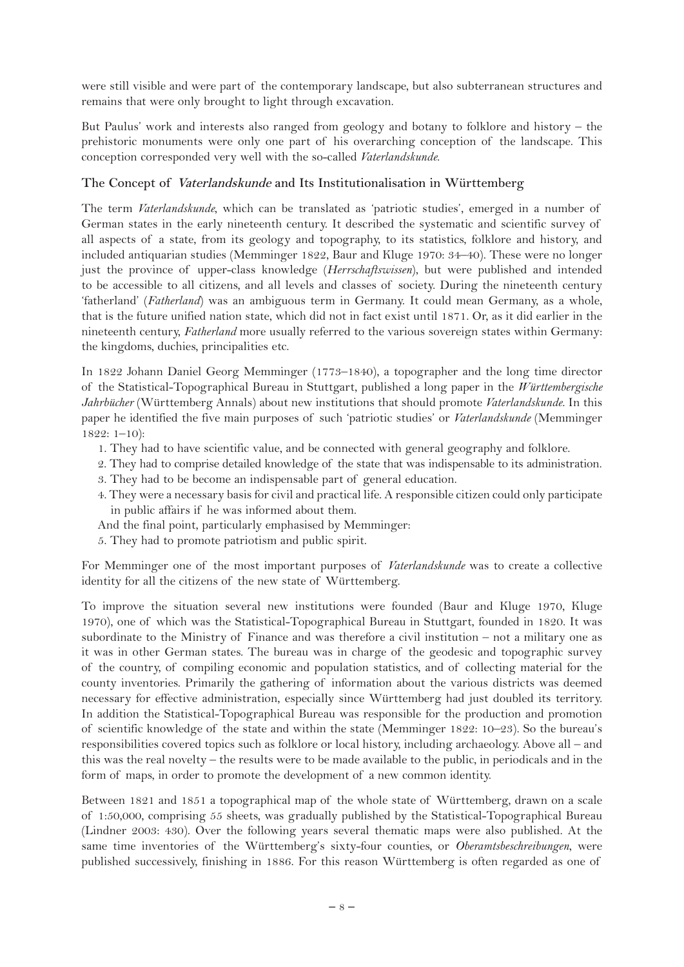were still visible and were part of the contemporary landscape, but also subterranean structures and remains that were only brought to light through excavation.

But Paulus' work and interests also ranged from geology and botany to folklore and history – the prehistoric monuments were only one part of his overarching conception of the landscape. This conception corresponded very well with the so-called *Vaterlandskunde*.

#### **The Concept of Vaterlandskunde and Its Institutionalisation in Württemberg**

The term *Vaterlandskunde*, which can be translated as 'patriotic studies', emerged in a number of German states in the early nineteenth century. It described the systematic and scientific survey of all aspects of a state, from its geology and topography, to its statistics, folklore and history, and included antiquarian studies (Memminger 1822, Baur and Kluge 1970: 34–40). These were no longer just the province of upper-class knowledge (*Herrschaftswissen*), but were published and intended to be accessible to all citizens, and all levels and classes of society. During the nineteenth century 'fatherland' (*Fatherland*) was an ambiguous term in Germany. It could mean Germany, as a whole, that is the future unified nation state, which did not in fact exist until 1871. Or, as it did earlier in the nineteenth century, *Fatherland* more usually referred to the various sovereign states within Germany: the kingdoms, duchies, principalities etc.

In 1822 Johann Daniel Georg Memminger (1773–1840), a topographer and the long time director of the Statistical-Topographical Bureau in Stuttgart, published a long paper in the *Württembergische Jahrbücher* (Württemberg Annals) about new institutions that should promote *Vaterlandskunde*. In this paper he identified the five main purposes of such 'patriotic studies' or *Vaterlandskunde* (Memminger 1822: 1–10):

- 1. They had to have scientific value, and be connected with general geography and folklore.
- 2. They had to comprise detailed knowledge of the state that was indispensable to its administration.
- 3. They had to be become an indispensable part of general education.
- 4. They were a necessary basis for civil and practical life. A responsible citizen could only participate in public affairs if he was informed about them.
- And the final point, particularly emphasised by Memminger:
- 5. They had to promote patriotism and public spirit.

For Memminger one of the most important purposes of *Vaterlandskunde* was to create a collective identity for all the citizens of the new state of Württemberg.

To improve the situation several new institutions were founded (Baur and Kluge 1970, Kluge 1970), one of which was the Statistical-Topographical Bureau in Stuttgart, founded in 1820. It was subordinate to the Ministry of Finance and was therefore a civil institution – not a military one as it was in other German states. The bureau was in charge of the geodesic and topographic survey of the country, of compiling economic and population statistics, and of collecting material for the county inventories. Primarily the gathering of information about the various districts was deemed necessary for effective administration, especially since Württemberg had just doubled its territory. In addition the Statistical-Topographical Bureau was responsible for the production and promotion of scientific knowledge of the state and within the state (Memminger 1822: 10–23). So the bureau's responsibilities covered topics such as folklore or local history, including archaeology. Above all – and this was the real novelty – the results were to be made available to the public, in periodicals and in the form of maps, in order to promote the development of a new common identity.

Between 1821 and 1851 a topographical map of the whole state of Württemberg, drawn on a scale of 1:50,000, comprising 55 sheets, was gradually published by the Statistical-Topographical Bureau (Lindner 2003: 430). Over the following years several thematic maps were also published. At the same time inventories of the Württemberg's sixty-four counties, or *Oberamtsbeschreibungen*, were published successively, finishing in 1886. For this reason Württemberg is often regarded as one of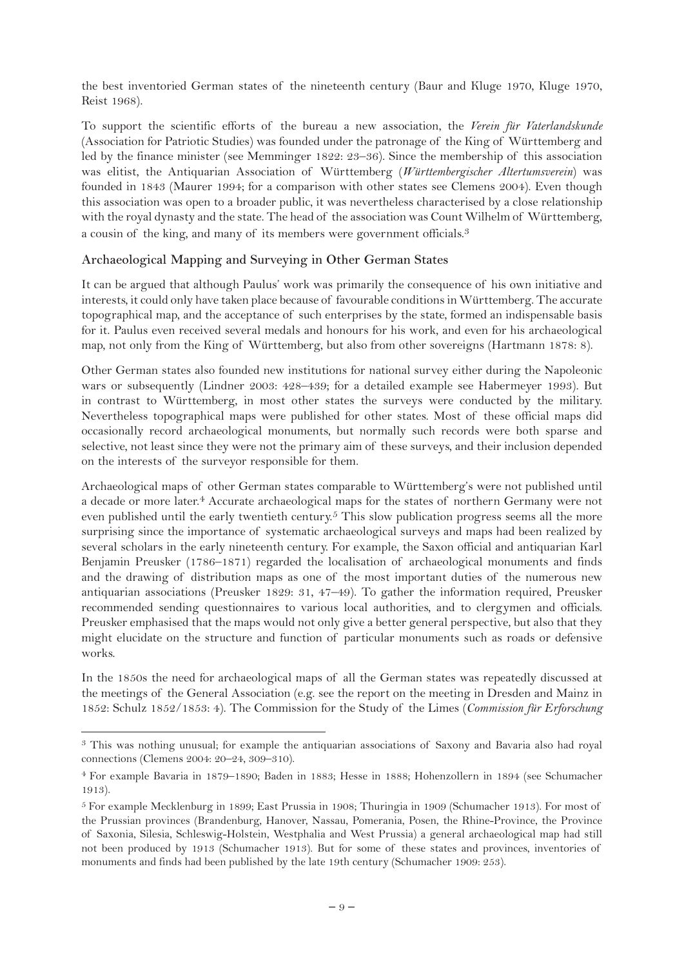the best inventoried German states of the nineteenth century (Baur and Kluge 1970, Kluge 1970, Reist 1968).

To support the scientific efforts of the bureau a new association, the *Verein für Vaterlandskunde* (Association for Patriotic Studies) was founded under the patronage of the King of Württemberg and led by the finance minister (see Memminger 1822: 23–36). Since the membership of this association was elitist, the Antiquarian Association of Württemberg (*Württembergischer Altertumsverein*) was founded in 1843 (Maurer 1994; for a comparison with other states see Clemens 2004). Even though this association was open to a broader public, it was nevertheless characterised by a close relationship with the royal dynasty and the state. The head of the association was Count Wilhelm of Württemberg, a cousin of the king, and many of its members were government officials.<sup>3</sup>

### **Archaeological Mapping and Surveying in Other German States**

It can be argued that although Paulus' work was primarily the consequence of his own initiative and interests, it could only have taken place because of favourable conditions in Württemberg. The accurate topographical map, and the acceptance of such enterprises by the state, formed an indispensable basis for it. Paulus even received several medals and honours for his work, and even for his archaeological map, not only from the King of Württemberg, but also from other sovereigns (Hartmann 1878: 8).

Other German states also founded new institutions for national survey either during the Napoleonic wars or subsequently (Lindner 2003: 428–439; for a detailed example see Habermeyer 1993). But in contrast to Württemberg, in most other states the surveys were conducted by the military. Nevertheless topographical maps were published for other states. Most of these official maps did occasionally record archaeological monuments, but normally such records were both sparse and selective, not least since they were not the primary aim of these surveys, and their inclusion depended on the interests of the surveyor responsible for them.

Archaeological maps of other German states comparable to Württemberg's were not published until a decade or more later.4 Accurate archaeological maps for the states of northern Germany were not even published until the early twentieth century.<sup>5</sup> This slow publication progress seems all the more surprising since the importance of systematic archaeological surveys and maps had been realized by several scholars in the early nineteenth century. For example, the Saxon official and antiquarian Karl Benjamin Preusker (1786–1871) regarded the localisation of archaeological monuments and finds and the drawing of distribution maps as one of the most important duties of the numerous new antiquarian associations (Preusker 1829: 31, 47–49). To gather the information required, Preusker recommended sending questionnaires to various local authorities, and to clergymen and officials. Preusker emphasised that the maps would not only give a better general perspective, but also that they might elucidate on the structure and function of particular monuments such as roads or defensive works.

In the 1850s the need for archaeological maps of all the German states was repeatedly discussed at the meetings of the General Association (e.g. see the report on the meeting in Dresden and Mainz in 1852: Schulz 1852/1853: 4). The Commission for the Study of the Limes (*Commission für Erforschung* 

<sup>3</sup> This was nothing unusual; for example the antiquarian associations of Saxony and Bavaria also had royal connections (Clemens 2004: 20–24, 309–310).

<sup>4</sup> For example Bavaria in 1879–1890; Baden in 1883; Hesse in 1888; Hohenzollern in 1894 (see Schumacher 1913).

<sup>5</sup> For example Mecklenburg in 1899; East Prussia in 1908; Thuringia in 1909 (Schumacher 1913). For most of the Prussian provinces (Brandenburg, Hanover, Nassau, Pomerania, Posen, the Rhine-Province, the Province of Saxonia, Silesia, Schleswig-Holstein, Westphalia and West Prussia) a general archaeological map had still not been produced by 1913 (Schumacher 1913). But for some of these states and provinces, inventories of monuments and finds had been published by the late 19th century (Schumacher 1909: 253).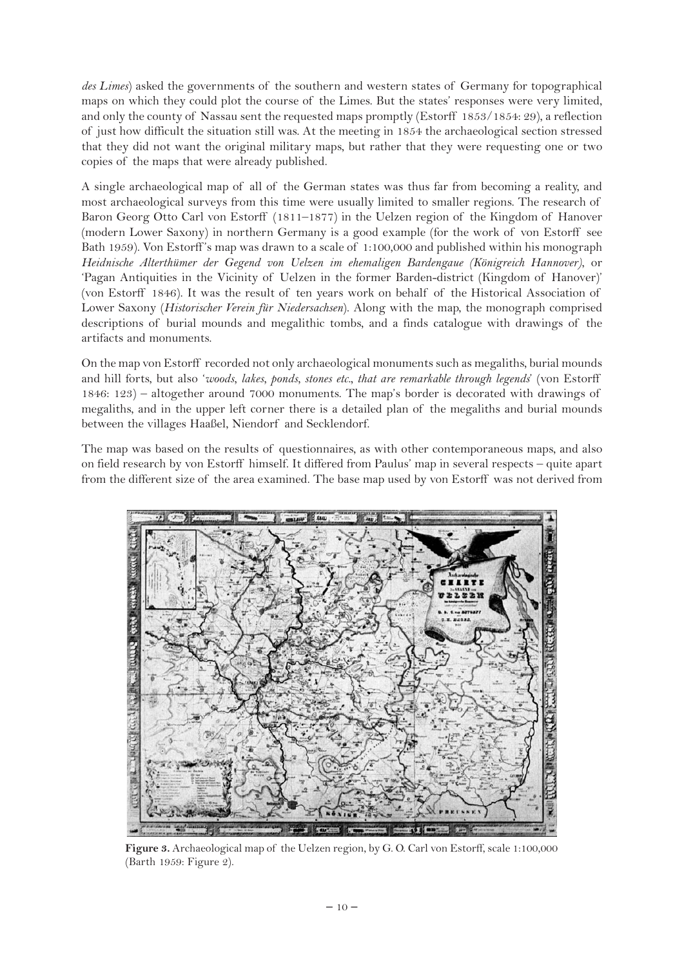*des Limes*) asked the governments of the southern and western states of Germany for topographical maps on which they could plot the course of the Limes. But the states' responses were very limited, and only the county of Nassau sent the requested maps promptly (Estorff 1853/1854: 29), a reflection of just how difficult the situation still was. At the meeting in 1854 the archaeological section stressed that they did not want the original military maps, but rather that they were requesting one or two copies of the maps that were already published.

A single archaeological map of all of the German states was thus far from becoming a reality, and most archaeological surveys from this time were usually limited to smaller regions. The research of Baron Georg Otto Carl von Estorff (1811–1877) in the Uelzen region of the Kingdom of Hanover (modern Lower Saxony) in northern Germany is a good example (for the work of von Estorff see Bath 1959). Von Estorff 's map was drawn to a scale of 1:100,000 and published within his monograph *Heidnische Alterthümer der Gegend von Uelzen im ehemaligen Bardengaue (Königreich Hannover)*, or 'Pagan Antiquities in the Vicinity of Uelzen in the former Barden-district (Kingdom of Hanover)' (von Estorff 1846). It was the result of ten years work on behalf of the Historical Association of Lower Saxony (*Historischer Verein für Niedersachsen*). Along with the map, the monograph comprised descriptions of burial mounds and megalithic tombs, and a finds catalogue with drawings of the artifacts and monuments.

On the map von Estorff recorded not only archaeological monuments such as megaliths, burial mounds and hill forts, but also '*woods, lakes, ponds, stones etc., that are remarkable through legends*' (von Estorff 1846: 123) – altogether around 7000 monuments. The map's border is decorated with drawings of megaliths, and in the upper left corner there is a detailed plan of the megaliths and burial mounds between the villages Haaßel, Niendorf and Secklendorf.

The map was based on the results of questionnaires, as with other contemporaneous maps, and also on field research by von Estorff himself. It differed from Paulus' map in several respects – quite apart from the different size of the area examined. The base map used by von Estorff was not derived from



**Figure 3.** Archaeological map of the Uelzen region, by G. O. Carl von Estorff, scale 1:100,000 (Barth 1959: Figure 2).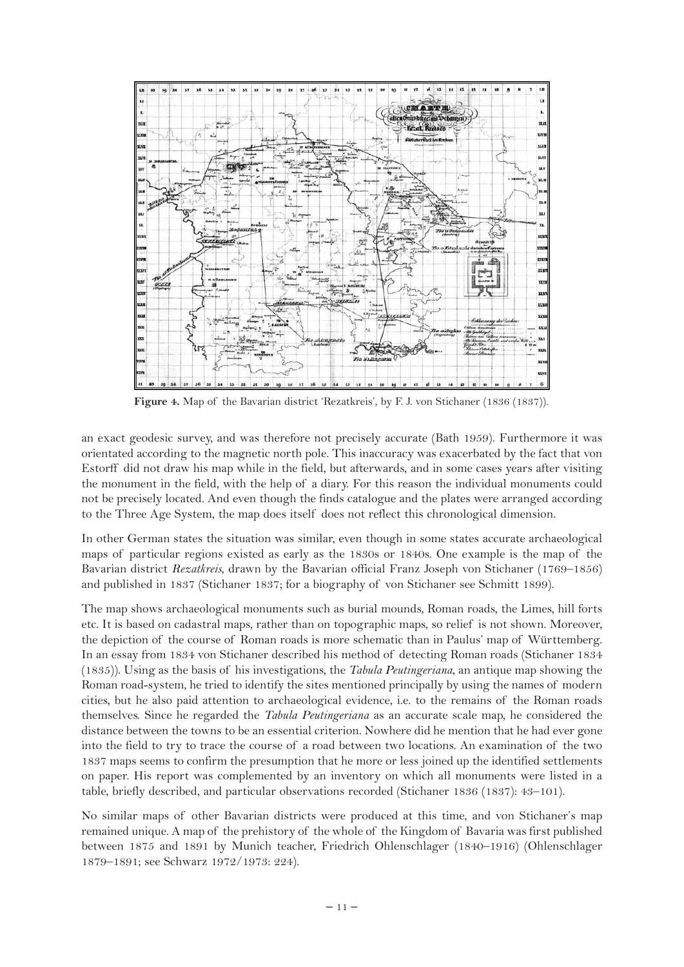

**Figure 4.** Map of the Bavarian district 'Rezatkreis', by F. J. von Stichaner (1836 (1837)).

an exact geodesic survey, and was therefore not precisely accurate (Bath 1959). Furthermore it was orientated according to the magnetic north pole. This inaccuracy was exacerbated by the fact that von Estorff did not draw his map while in the field, but afterwards, and in some cases years after visiting the monument in the field, with the help of a diary. For this reason the individual monuments could not be precisely located. And even though the finds catalogue and the plates were arranged according to the Three Age System, the map does itself does not reflect this chronological dimension.

In other German states the situation was similar, even though in some states accurate archaeological maps of particular regions existed as early as the 1830s or 1840s. One example is the map of the Bavarian district *Rezatkreis*, drawn by the Bavarian official Franz Joseph von Stichaner (1769–1856) and published in 1837 (Stichaner 1837; for a biography of von Stichaner see Schmitt 1899).

The map shows archaeological monuments such as burial mounds, Roman roads, the Limes, hill forts etc. It is based on cadastral maps, rather than on topographic maps, so relief is not shown. Moreover, the depiction of the course of Roman roads is more schematic than in Paulus' map of Württemberg. In an essay from 1834 von Stichaner described his method of detecting Roman roads (Stichaner 1834 (1835)). Using as the basis of his investigations, the *Tabula Peutingeriana*, an antique map showing the Roman road-system, he tried to identify the sites mentioned principally by using the names of modern cities, but he also paid attention to archaeological evidence, i.e. to the remains of the Roman roads themselves. Since he regarded the *Tabula Peutingeriana* as an accurate scale map, he considered the distance between the towns to be an essential criterion. Nowhere did he mention that he had ever gone into the field to try to trace the course of a road between two locations. An examination of the two 1837 maps seems to confirm the presumption that he more or less joined up the identified settlements on paper. His report was complemented by an inventory on which all monuments were listed in a table, briefly described, and particular observations recorded (Stichaner 1836 (1837): 43–101).

No similar maps of other Bavarian districts were produced at this time, and von Stichaner's map remained unique. A map of the prehistory of the whole of the Kingdom of Bavaria was first published between 1875 and 1891 by Munich teacher, Friedrich Ohlenschlager (1840–1916) (Ohlenschlager 1879–1891; see Schwarz 1972/1973: 224).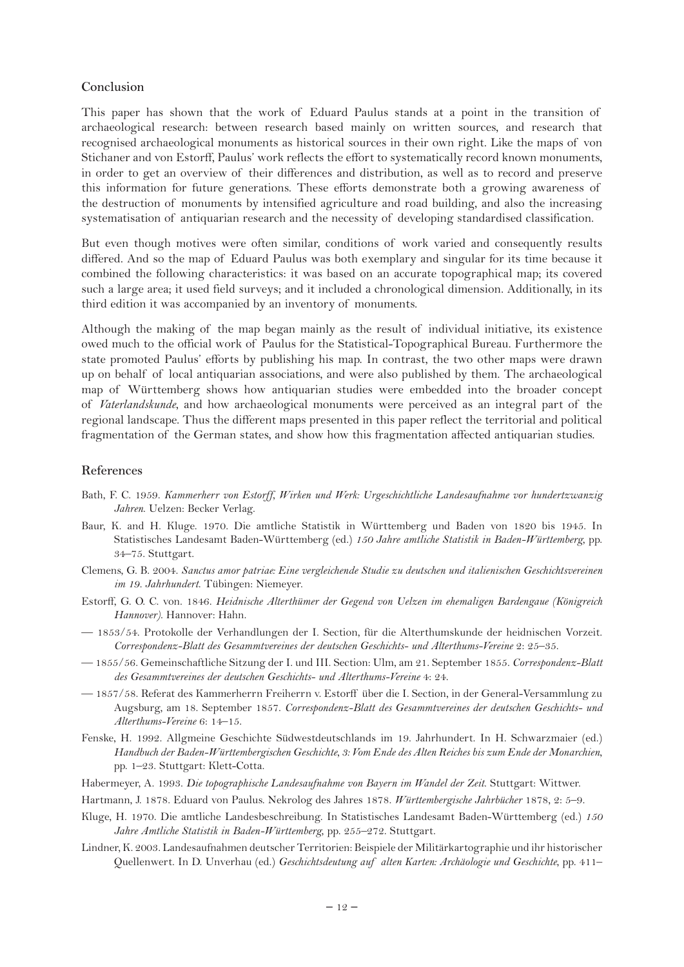#### **Conclusion**

This paper has shown that the work of Eduard Paulus stands at a point in the transition of archaeological research: between research based mainly on written sources, and research that recognised archaeological monuments as historical sources in their own right. Like the maps of von Stichaner and von Estorff, Paulus' work reflects the effort to systematically record known monuments, in order to get an overview of their differences and distribution, as well as to record and preserve this information for future generations. These efforts demonstrate both a growing awareness of the destruction of monuments by intensified agriculture and road building, and also the increasing systematisation of antiquarian research and the necessity of developing standardised classification.

But even though motives were often similar, conditions of work varied and consequently results differed. And so the map of Eduard Paulus was both exemplary and singular for its time because it combined the following characteristics: it was based on an accurate topographical map; its covered such a large area; it used field surveys; and it included a chronological dimension. Additionally, in its third edition it was accompanied by an inventory of monuments.

Although the making of the map began mainly as the result of individual initiative, its existence owed much to the official work of Paulus for the Statistical-Topographical Bureau. Furthermore the state promoted Paulus' efforts by publishing his map. In contrast, the two other maps were drawn up on behalf of local antiquarian associations, and were also published by them. The archaeological map of Württemberg shows how antiquarian studies were embedded into the broader concept of *Vaterlandskunde*, and how archaeological monuments were perceived as an integral part of the regional landscape. Thus the different maps presented in this paper reflect the territorial and political fragmentation of the German states, and show how this fragmentation affected antiquarian studies.

#### **References**

- Bath, F. C. 1959. *Kammerherr von Estorff, Wirken und Werk: Urgeschichtliche Landesaufnahme vor hundertzwanzig Jahren*. Uelzen: Becker Verlag.
- Baur, K. and H. Kluge. 1970. Die amtliche Statistik in Württemberg und Baden von 1820 bis 1945. In Statistisches Landesamt Baden-Württemberg (ed.) *150 Jahre amtliche Statistik in Baden-Württemberg*, pp. 34–75. Stuttgart.
- Clemens, G. B. 2004. *Sanctus amor patriae: Eine vergleichende Studie zu deutschen und italienischen Geschichtsvereinen im 19. Jahrhundert*. Tübingen: Niemeyer.
- Estorff, G. O. C. von. 1846. *Heidnische Alterthümer der Gegend von Uelzen im ehemaligen Bardengaue (Königreich Hannover)*. Hannover: Hahn.
- 1853/54. Protokolle der Verhandlungen der I. Section, für die Alterthumskunde der heidnischen Vorzeit. *Correspondenz-Blatt des Gesammtvereines der deutschen Geschichts- und Alterthums-Vereine* 2: 25–35.
- 1855/56. Gemeinschaftliche Sitzung der I. und III. Section: Ulm, am 21. September 1855. *Correspondenz-Blatt des Gesammtvereines der deutschen Geschichts- und Alterthums-Vereine* 4: 24.
- 1857/58. Referat des Kammerherrn Freiherrn v. Estorff über die I. Section, in der General-Versammlung zu Augsburg, am 18. September 1857. *Correspondenz-Blatt des Gesammtvereines der deutschen Geschichts- und Alterthums-Vereine* 6: 14–15.
- Fenske, H. 1992. Allgmeine Geschichte Südwestdeutschlands im 19. Jahrhundert. In H. Schwarzmaier (ed.) *Handbuch der Baden-Württembergischen Geschichte, 3: Vom Ende des Alten Reiches bis zum Ende der Monarchien*, pp. 1–23. Stuttgart: Klett-Cotta.
- Habermeyer, A. 1993. *Die topographische Landesaufnahme von Bayern im Wandel der Zeit*. Stuttgart: Wittwer.
- Hartmann, J. 1878. Eduard von Paulus. Nekrolog des Jahres 1878. *Württembergische Jahrbücher* 1878, 2: 5–9.
- Kluge, H. 1970. Die amtliche Landesbeschreibung. In Statistisches Landesamt Baden-Württemberg (ed.) *150 Jahre Amtliche Statistik in Baden-Württemberg*, pp. 255–272. Stuttgart.
- Lindner, K. 2003. Landesaufnahmen deutscher Territorien: Beispiele der Militärkartographie und ihr historischer Quellenwert. In D. Unverhau (ed.) *Geschichtsdeutung auf alten Karten: Archäologie und Geschichte*, pp. 411–